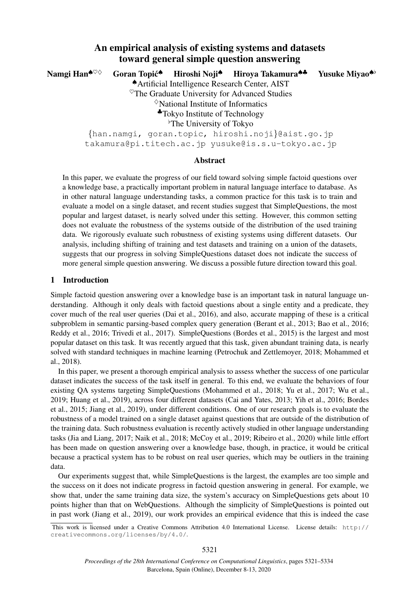# An empirical analysis of existing systems and datasets toward general simple question answering

Namgi Han<sup>♦♡◇</sup> Goran Topić<sup>◆</sup> Hiroshi Noji<sup>▲</sup> Hiroya Takamura<sup>▲▲</sup> Yusuke Miyao<sup>▲</sup> ♠Artificial Intelligence Research Center, AIST  $\sigma$ The Graduate University for Advanced Studies  $\Diamond$ National Institute of Informatics ♣Tokyo Institute of Technology <sup>b</sup>The University of Tokyo {han.namgi, goran.topic, hiroshi.noji}@aist.go.jp takamura@pi.titech.ac.jp yusuke@is.s.u-tokyo.ac.jp

### Abstract

In this paper, we evaluate the progress of our field toward solving simple factoid questions over a knowledge base, a practically important problem in natural language interface to database. As in other natural language understanding tasks, a common practice for this task is to train and evaluate a model on a single dataset, and recent studies suggest that SimpleQuestions, the most popular and largest dataset, is nearly solved under this setting. However, this common setting does not evaluate the robustness of the systems outside of the distribution of the used training data. We rigorously evaluate such robustness of existing systems using different datasets. Our analysis, including shifting of training and test datasets and training on a union of the datasets, suggests that our progress in solving SimpleQuestions dataset does not indicate the success of more general simple question answering. We discuss a possible future direction toward this goal.

### 1 Introduction

Simple factoid question answering over a knowledge base is an important task in natural language understanding. Although it only deals with factoid questions about a single entity and a predicate, they cover much of the real user queries (Dai et al., 2016), and also, accurate mapping of these is a critical subproblem in semantic parsing-based complex query generation (Berant et al., 2013; Bao et al., 2016; Reddy et al., 2016; Trivedi et al., 2017). SimpleQuestions (Bordes et al., 2015) is the largest and most popular dataset on this task. It was recently argued that this task, given abundant training data, is nearly solved with standard techniques in machine learning (Petrochuk and Zettlemoyer, 2018; Mohammed et al., 2018).

In this paper, we present a thorough empirical analysis to assess whether the success of one particular dataset indicates the success of the task itself in general. To this end, we evaluate the behaviors of four existing QA systems targeting SimpleQuestions (Mohammed et al., 2018; Yu et al., 2017; Wu et al., 2019; Huang et al., 2019), across four different datasets (Cai and Yates, 2013; Yih et al., 2016; Bordes et al., 2015; Jiang et al., 2019), under different conditions. One of our research goals is to evaluate the robustness of a model trained on a single dataset against questions that are outside of the distribution of the training data. Such robustness evaluation is recently actively studied in other language understanding tasks (Jia and Liang, 2017; Naik et al., 2018; McCoy et al., 2019; Ribeiro et al., 2020) while little effort has been made on question answering over a knowledge base, though, in practice, it would be critical because a practical system has to be robust on real user queries, which may be outliers in the training data.

Our experiments suggest that, while SimpleQuestions is the largest, the examples are too simple and the success on it does not indicate progress in factoid question answering in general. For example, we show that, under the same training data size, the system's accuracy on SimpleQuestions gets about 10 points higher than that on WebQuestions. Although the simplicity of SimpleQuestions is pointed out in past work (Jiang et al., 2019), our work provides an empirical evidence that this is indeed the case

This work is licensed under a Creative Commons Attribution 4.0 International License. License details: http:// creativecommons.org/licenses/by/4.0/.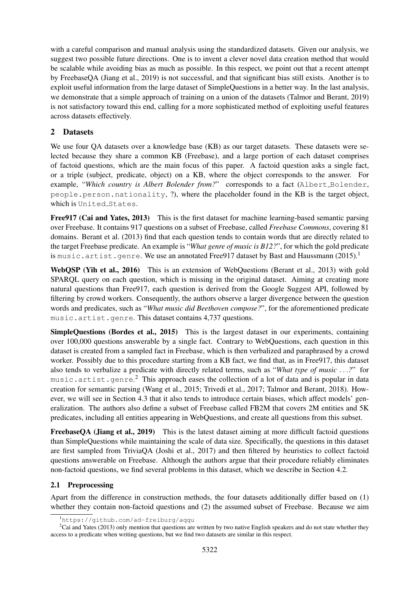with a careful comparison and manual analysis using the standardized datasets. Given our analysis, we suggest two possible future directions. One is to invent a clever novel data creation method that would be scalable while avoiding bias as much as possible. In this respect, we point out that a recent attempt by FreebaseQA (Jiang et al., 2019) is not successful, and that significant bias still exists. Another is to exploit useful information from the large dataset of SimpleQuestions in a better way. In the last analysis, we demonstrate that a simple approach of training on a union of the datasets (Talmor and Berant, 2019) is not satisfactory toward this end, calling for a more sophisticated method of exploiting useful features across datasets effectively.

# 2 Datasets

We use four QA datasets over a knowledge base (KB) as our target datasets. These datasets were selected because they share a common KB (Freebase), and a large portion of each dataset comprises of factoid questions, which are the main focus of this paper. A factoid question asks a single fact, or a triple (subject, predicate, object) on a KB, where the object corresponds to the answer. For example, "Which country is Albert Bolender from?" corresponds to a fact (Albert\_Bolender, people.person.nationality, ?), where the placeholder found in the KB is the target object, which is United\_States.

Free 917 (Cai and Yates, 2013) This is the first dataset for machine learning-based semantic parsing over Freebase. It contains 917 questions on a subset of Freebase, called *Freebase Commons*, covering 81 domains. Berant et al. (2013) find that each question tends to contain words that are directly related to the target Freebase predicate. An example is "*What genre of music is B12?*", for which the gold predicate is music.artist.genre. We use an annotated Free917 dataset by Bast and Haussmann  $(2015)^1$ 

WebQSP (Yih et al., 2016) This is an extension of WebQuestions (Berant et al., 2013) with gold SPARQL query on each question, which is missing in the original dataset. Aiming at creating more natural questions than Free917, each question is derived from the Google Suggest API, followed by filtering by crowd workers. Consequently, the authors observe a larger divergence between the question words and predicates, such as "*What music did Beethoven compose?*", for the aforementioned predicate music.artist.genre. This dataset contains 4,737 questions.

SimpleQuestions (Bordes et al., 2015) This is the largest dataset in our experiments, containing over 100,000 questions answerable by a single fact. Contrary to WebQuestions, each question in this dataset is created from a sampled fact in Freebase, which is then verbalized and paraphrased by a crowd worker. Possibly due to this procedure starting from a KB fact, we find that, as in Free917, this dataset also tends to verbalize a predicate with directly related terms, such as "*What type of music* . . .*?*" for music.artist.genre.<sup>2</sup> This approach eases the collection of a lot of data and is popular in data creation for semantic parsing (Wang et al., 2015; Trivedi et al., 2017; Talmor and Berant, 2018). However, we will see in Section 4.3 that it also tends to introduce certain biases, which affect models' generalization. The authors also define a subset of Freebase called FB2M that covers 2M entities and 5K predicates, including all entities appearing in WebQuestions, and create all questions from this subset.

FreebaseOA (Jiang et al., 2019) This is the latest dataset aiming at more difficult factoid questions than SimpleQuestions while maintaining the scale of data size. Specifically, the questions in this dataset are first sampled from TriviaQA (Joshi et al., 2017) and then filtered by heuristics to collect factoid questions answerable on Freebase. Although the authors argue that their procedure reliably eliminates non-factoid questions, we find several problems in this dataset, which we describe in Section 4.2.

# 2.1 Preprocessing

Apart from the difference in construction methods, the four datasets additionally differ based on (1) whether they contain non-factoid questions and (2) the assumed subset of Freebase. Because we aim

<sup>1</sup>https://github.com/ad-freiburg/aqqu

 $2$ Cai and Yates (2013) only mention that questions are written by two native English speakers and do not state whether they access to a predicate when writing questions, but we find two datasets are similar in this respect.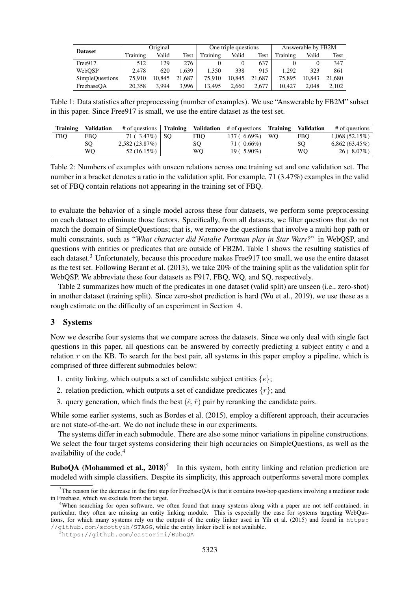| <b>Dataset</b>         | Original |        | One triple questions |          |        | Answerable by FB2M |          |        |        |
|------------------------|----------|--------|----------------------|----------|--------|--------------------|----------|--------|--------|
|                        | Training | Valid  | Test                 | Training | Valid  | Test               | Training | Valid  | Test   |
| Free917                | 512      | 129    | 276                  |          |        | 637                |          |        | 347    |
| WebOSP                 | 2.478    | 620    | .639                 | 1.350    | 338    | 915                | 1.292    | 323    | 861    |
| <b>SimpleQuestions</b> | 75.910   | 10.845 | 21,687               | 75.910   | 10.845 | 21.687             | 75.895   | 10.843 | 21,680 |
| FreebaseOA             | 20.358   | 3.994  | 3.996                | 13.495   | 2.660  | 2.677              | 10.427   | 2.048  | 2.102  |

Table 1: Data statistics after preprocessing (number of examples). We use "Answerable by FB2M" subset in this paper. Since Free917 is small, we use the entire dataset as the test set.

| Training | <b>Validation</b> | # of questions     | <b>Training</b> | <b>Validation</b> | # of questions | Training  | <b>Validation</b> | # of questions   |
|----------|-------------------|--------------------|-----------------|-------------------|----------------|-----------|-------------------|------------------|
| FBO      | FBO               | 71 ( $3.47\%$ ) SO |                 | <b>FBO</b>        | $137(6.69\%)$  | <b>WO</b> | FBO               | $1,068(52.15\%)$ |
|          | SO                | 2,582(23.87%)      |                 | SO.               | 71 ( 0.66%)    |           | SO                | $6,862(63.45\%)$ |
|          | WО                | 52 (16.15%)        |                 | WО                | $19(5.90\%)$   |           | WО                | 26(.8.07%)       |

Table 2: Numbers of examples with unseen relations across one training set and one validation set. The number in a bracket denotes a ratio in the validation split. For example, 71 (3.47%) examples in the valid set of FBQ contain relations not appearing in the training set of FBQ.

to evaluate the behavior of a single model across these four datasets, we perform some preprocessing on each dataset to eliminate those factors. Specifically, from all datasets, we filter questions that do not match the domain of SimpleQuestions; that is, we remove the questions that involve a multi-hop path or multi constraints, such as "*What character did Natalie Portman play in Star Wars?*" in WebQSP, and questions with entities or predicates that are outside of FB2M. Table 1 shows the resulting statistics of each dataset.<sup>3</sup> Unfortunately, because this procedure makes Free 917 too small, we use the entire dataset as the test set. Following Berant et al. (2013), we take 20% of the training split as the validation split for WebQSP. We abbreviate these four datasets as F917, FBQ, WQ, and SQ, respectively.

Table 2 summarizes how much of the predicates in one dataset (valid split) are unseen (i.e., zero-shot) in another dataset (training split). Since zero-shot prediction is hard (Wu et al., 2019), we use these as a rough estimate on the difficulty of an experiment in Section 4.

### 3 Systems

Now we describe four systems that we compare across the datasets. Since we only deal with single fact questions in this paper, all questions can be answered by correctly predicting a subject entity e and a relation  $r$  on the KB. To search for the best pair, all systems in this paper employ a pipeline, which is comprised of three different submodules below:

- 1. entity linking, which outputs a set of candidate subject entities  $\{e\}$ ;
- 2. relation prediction, which outputs a set of candidate predicates  $\{r\}$ ; and
- 3. query generation, which finds the best  $(\hat{e}, \hat{r})$  pair by reranking the candidate pairs.

While some earlier systems, such as Bordes et al. (2015), employ a different approach, their accuracies are not state-of-the-art. We do not include these in our experiments.

The systems differ in each submodule. There are also some minor variations in pipeline constructions. We select the four target systems considering their high accuracies on SimpleQuestions, as well as the availability of the code.<sup>4</sup>

**BuboQA** (Mohammed et al.,  $2018$ )<sup>5</sup> In this system, both entity linking and relation prediction are modeled with simple classifiers. Despite its simplicity, this approach outperforms several more complex

 $3$ The reason for the decrease in the first step for FreebaseQA is that it contains two-hop questions involving a mediator node in Freebase, which we exclude from the target.

<sup>&</sup>lt;sup>4</sup>When searching for open software, we often found that many systems along with a paper are not self-contained; in particular, they often are missing an entity linking module. This is especially the case for systems targeting WebQustions, for which many systems rely on the outputs of the entity linker used in Yih et al. (2015) and found in https: //github.com/scottyih/STAGG, while the entity linker itself is not available.

<sup>5</sup>https://github.com/castorini/BuboQA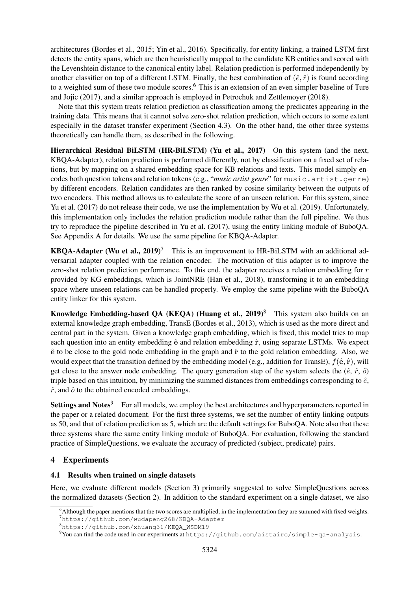architectures (Bordes et al., 2015; Yin et al., 2016). Specifically, for entity linking, a trained LSTM first detects the entity spans, which are then heuristically mapped to the candidate KB entities and scored with the Levenshtein distance to the canonical entity label. Relation prediction is performed independently by another classifier on top of a different LSTM. Finally, the best combination of  $(\hat{e}, \hat{r})$  is found according to a weighted sum of these two module scores.<sup>6</sup> This is an extension of an even simpler baseline of Ture and Jojic (2017), and a similar approach is employed in Petrochuk and Zettlemoyer (2018).

Note that this system treats relation prediction as classification among the predicates appearing in the training data. This means that it cannot solve zero-shot relation prediction, which occurs to some extent especially in the dataset transfer experiment (Section 4.3). On the other hand, the other three systems theoretically can handle them, as described in the following.

Hierarchical Residual BiLSTM (HR-BiLSTM) (Yu et al., 2017) On this system (and the next, KBQA-Adapter), relation prediction is performed differently, not by classification on a fixed set of relations, but by mapping on a shared embedding space for KB relations and texts. This model simply encodes both question tokens and relation tokens (e.g., "*music artist genre*" for music.artist.genre) by different encoders. Relation candidates are then ranked by cosine similarity between the outputs of two encoders. This method allows us to calculate the score of an unseen relation. For this system, since Yu et al. (2017) do not release their code, we use the implementation by Wu et al. (2019). Unfortunately, this implementation only includes the relation prediction module rather than the full pipeline. We thus try to reproduce the pipeline described in Yu et al. (2017), using the entity linking module of BuboQA. See Appendix A for details. We use the same pipeline for KBQA-Adapter.

**KBOA-Adapter (Wu et al., 2019)<sup>7</sup>** This is an improvement to HR-BiLSTM with an additional adversarial adapter coupled with the relation encoder. The motivation of this adapter is to improve the zero-shot relation prediction performance. To this end, the adapter receives a relation embedding for r provided by KG embeddings, which is JointNRE (Han et al., 2018), transforming it to an embedding space where unseen relations can be handled properly. We employ the same pipeline with the BuboQA entity linker for this system.

Knowledge Embedding-based QA (KEQA) (Huang et al.,  $2019$ )<sup>8</sup> This system also builds on an external knowledge graph embedding, TransE (Bordes et al., 2013), which is used as the more direct and central part in the system. Given a knowledge graph embedding, which is fixed, this model tries to map each question into an entity embedding  $\hat{e}$  and relation embedding  $\hat{r}$ , using separate LSTMs. We expect  $\hat{e}$  to be close to the gold node embedding in the graph and  $\hat{r}$  to the gold relation embedding. Also, we would expect that the transition defined by the embedding model (e.g., addition for TransE),  $f(\hat{\mathbf{e}}, \hat{\mathbf{r}})$ , will get close to the answer node embedding. The query generation step of the system selects the  $(\hat{e}, \hat{r}, \hat{o})$ triple based on this intuition, by minimizing the summed distances from embeddings corresponding to  $\hat{e}$ ,  $\hat{r}$ , and  $\hat{o}$  to the obtained encoded embeddings.

Settings and Notes<sup>9</sup> For all models, we employ the best architectures and hyperparameters reported in the paper or a related document. For the first three systems, we set the number of entity linking outputs as 50, and that of relation prediction as 5, which are the default settings for BuboQA. Note also that these three systems share the same entity linking module of BuboQA. For evaluation, following the standard practice of SimpleQuestions, we evaluate the accuracy of predicted (subject, predicate) pairs.

# 4 Experiments

# 4.1 Results when trained on single datasets

Here, we evaluate different models (Section 3) primarily suggested to solve SimpleQuestions across the normalized datasets (Section 2). In addition to the standard experiment on a single dataset, we also

 $6$ Although the paper mentions that the two scores are multiplied, in the implementation they are summed with fixed weights. <sup>7</sup>https://github.com/wudapeng268/KBQA-Adapter

<sup>8</sup>https://github.com/xhuang31/KEQA\_WSDM19

<sup>9</sup>You can find the code used in our experiments at https://github.com/aistairc/simple-qa-analysis.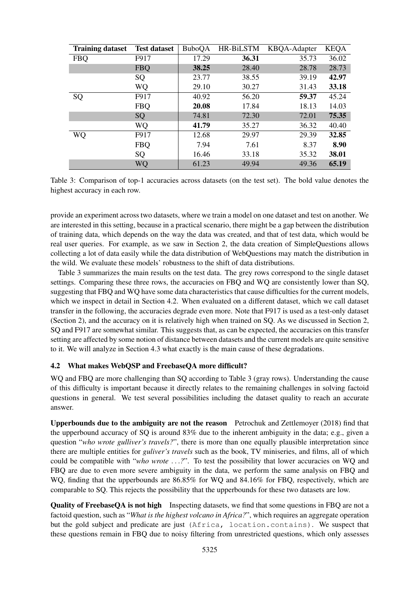| <b>Training dataset</b> | <b>Test dataset</b> | <b>BuboQA</b> | HR-BiLSTM | KBQA-Adapter | <b>KEQA</b> |
|-------------------------|---------------------|---------------|-----------|--------------|-------------|
| <b>FBQ</b>              | F917                | 17.29         | 36.31     | 35.73        | 36.02       |
|                         | <b>FBQ</b>          | 38.25         | 28.40     | 28.78        | 28.73       |
|                         | SQ                  | 23.77         | 38.55     | 39.19        | 42.97       |
|                         | WQ                  | 29.10         | 30.27     | 31.43        | 33.18       |
| SQ                      | F917                | 40.92         | 56.20     | 59.37        | 45.24       |
|                         | <b>FBQ</b>          | 20.08         | 17.84     | 18.13        | 14.03       |
|                         | SQ                  | 74.81         | 72.30     | 72.01        | 75.35       |
|                         | WQ                  | 41.79         | 35.27     | 36.32        | 40.40       |
| WQ                      | F917                | 12.68         | 29.97     | 29.39        | 32.85       |
|                         | <b>FBQ</b>          | 7.94          | 7.61      | 8.37         | 8.90        |
|                         | SQ                  | 16.46         | 33.18     | 35.32        | 38.01       |
|                         | WQ                  | 61.23         | 49.94     | 49.36        | 65.19       |

Table 3: Comparison of top-1 accuracies across datasets (on the test set). The bold value denotes the highest accuracy in each row.

provide an experiment across two datasets, where we train a model on one dataset and test on another. We are interested in this setting, because in a practical scenario, there might be a gap between the distribution of training data, which depends on the way the data was created, and that of test data, which would be real user queries. For example, as we saw in Section 2, the data creation of SimpleQuestions allows collecting a lot of data easily while the data distribution of WebQuestions may match the distribution in the wild. We evaluate these models' robustness to the shift of data distributions.

Table 3 summarizes the main results on the test data. The grey rows correspond to the single dataset settings. Comparing these three rows, the accuracies on FBQ and WQ are consistently lower than SQ, suggesting that FBQ and WQ have some data characteristics that cause difficulties for the current models, which we inspect in detail in Section 4.2. When evaluated on a different dataset, which we call dataset transfer in the following, the accuracies degrade even more. Note that F917 is used as a test-only dataset (Section 2), and the accuracy on it is relatively high when trained on SQ. As we discussed in Section 2, SQ and F917 are somewhat similar. This suggests that, as can be expected, the accuracies on this transfer setting are affected by some notion of distance between datasets and the current models are quite sensitive to it. We will analyze in Section 4.3 what exactly is the main cause of these degradations.

# 4.2 What makes WebQSP and FreebaseQA more difficult?

WQ and FBQ are more challenging than SQ according to Table 3 (gray rows). Understanding the cause of this difficulty is important because it directly relates to the remaining challenges in solving factoid questions in general. We test several possibilities including the dataset quality to reach an accurate answer.

Upperbounds due to the ambiguity are not the reason Petrochuk and Zettlemoyer (2018) find that the upperbound accuracy of SQ is around 83% due to the inherent ambiguity in the data; e.g., given a question "*who wrote gulliver's travels?*", there is more than one equally plausible interpretation since there are multiple entities for *guliver's travels* such as the book, TV miniseries, and films, all of which could be compatible with "*who wrote* . . .*?*". To test the possibility that lower accuracies on WQ and FBQ are due to even more severe ambiguity in the data, we perform the same analysis on FBQ and WQ, finding that the upperbounds are 86.85% for WQ and 84.16% for FBQ, respectively, which are comparable to SQ. This rejects the possibility that the upperbounds for these two datasets are low.

Quality of FreebaseQA is not high Inspecting datasets, we find that some questions in FBQ are not a factoid question, such as "*What is the highest volcano in Africa?*", which requires an aggregate operation but the gold subject and predicate are just (Africa, location.contains). We suspect that these questions remain in FBQ due to noisy filtering from unrestricted questions, which only assesses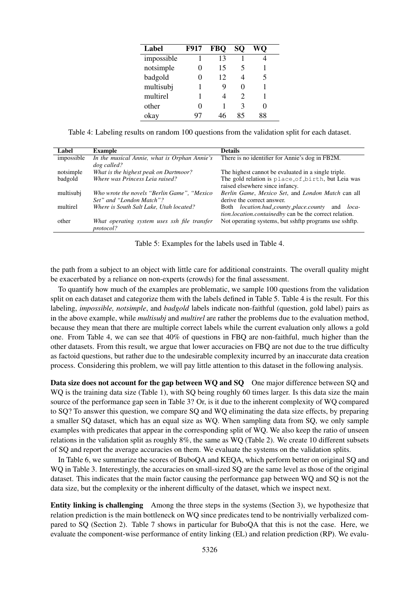| Label      | F917 | <b>FBO</b> | SО | WO |
|------------|------|------------|----|----|
| impossible |      | 13         |    |    |
| notsimple  | 0    | 15         | 5  |    |
| badgold    | 0    | 12         |    | 5  |
| multisubj  |      | 9          |    |    |
| multirel   |      |            | 2  |    |
| other      | 0    |            | 3  |    |
| okay       |      |            |    |    |

Table 4: Labeling results on random 100 questions from the validation split for each dataset.

| Label      | <b>Example</b>                               | <b>Details</b>                                                |
|------------|----------------------------------------------|---------------------------------------------------------------|
| impossible | In the musical Annie, what is Orphan Annie's | There is no identifier for Annie's dog in FB2M.               |
|            | dog called?                                  |                                                               |
| notsimple  | What is the highest peak on Dartmoor?        | The highest cannot be evaluated in a single triple.           |
| badgold    | Where was Princess Leia raised?              | The gold relation is place of birth, but Leia was             |
|            |                                              | raised elsewhere since infancy.                               |
| multisubj  | Who wrote the novels "Berlin Game", "Mexico" | Berlin Game, Mexico Set, and London Match can all             |
|            | Set" and "London Match"?                     | derive the correct answer.                                    |
| multirel   | Where is South Salt Lake, Utah located?      | Both <i>location.hud_county_place.county</i> and <i>loca-</i> |
|            |                                              | <i>tion.location.containedby</i> can be the correct relation. |
| other      | What operating system uses ssh file transfer | Not operating systems, but sshftp programs use sshftp.        |
|            | protocol?                                    |                                                               |
|            |                                              |                                                               |

Table 5: Examples for the labels used in Table 4.

the path from a subject to an object with little care for additional constraints. The overall quality might be exacerbated by a reliance on non-experts (crowds) for the final assessment.

To quantify how much of the examples are problematic, we sample 100 questions from the validation split on each dataset and categorize them with the labels defined in Table 5. Table 4 is the result. For this labeling, *impossible, notsimple*, and *badgold* labels indicate non-faithful (question, gold label) pairs as in the above example, while *multisubj* and *multirel* are rather the problems due to the evaluation method, because they mean that there are multiple correct labels while the current evaluation only allows a gold one. From Table 4, we can see that 40% of questions in FBQ are non-faithful, much higher than the other datasets. From this result, we argue that lower accuracies on FBQ are not due to the true difficulty as factoid questions, but rather due to the undesirable complexity incurred by an inaccurate data creation process. Considering this problem, we will pay little attention to this dataset in the following analysis.

Data size does not account for the gap between WQ and SQ One major difference between SQ and WQ is the training data size (Table 1), with SQ being roughly 60 times larger. Is this data size the main source of the performance gap seen in Table 3? Or, is it due to the inherent complexity of WQ compared to SQ? To answer this question, we compare SQ and WQ eliminating the data size effects, by preparing a smaller SQ dataset, which has an equal size as WQ. When sampling data from SQ, we only sample examples with predicates that appear in the corresponding split of WQ. We also keep the ratio of unseen relations in the validation split as roughly 8%, the same as WQ (Table 2). We create 10 different subsets of SQ and report the average accuracies on them. We evaluate the systems on the validation splits.

In Table 6, we summarize the scores of BuboQA and KEQA, which perform better on original SQ and WO in Table 3. Interestingly, the accuracies on small-sized SO are the same level as those of the original dataset. This indicates that the main factor causing the performance gap between WQ and SQ is not the data size, but the complexity or the inherent difficulty of the dataset, which we inspect next.

Entity linking is challenging Among the three steps in the systems (Section 3), we hypothesize that relation prediction is the main bottleneck on WQ since predicates tend to be nontrivially verbalized compared to SQ (Section 2). Table 7 shows in particular for BuboQA that this is not the case. Here, we evaluate the component-wise performance of entity linking (EL) and relation prediction (RP). We evalu-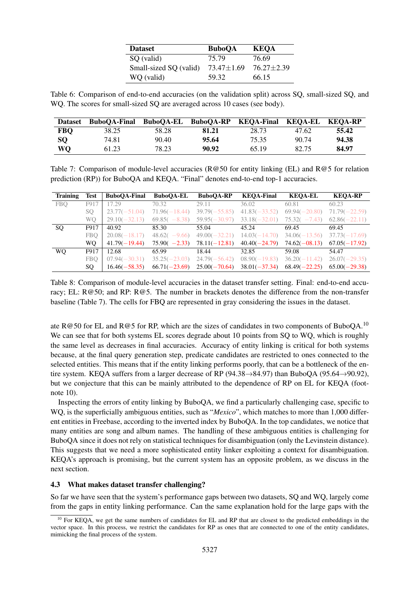| <b>Dataset</b>         | <b>BuboOA</b>    | <b>KEQA</b>      |
|------------------------|------------------|------------------|
| SQ (valid)             | 75.79            | 76.69            |
| Small-sized SQ (valid) | $73.47 \pm 1.69$ | $76.27 \pm 2.39$ |
| WQ (valid)             | 59.32            | 66.15            |

Table 6: Comparison of end-to-end accuracies (on the validation split) across SQ, small-sized SQ, and WQ. The scores for small-sized SQ are averaged across 10 cases (see body).

| <b>Dataset</b> | BuboQA-Final BuboQA-EL BuboQA-RP KEQA-Final |       |       |       | KEQA-EL KEQA-RP |       |
|----------------|---------------------------------------------|-------|-------|-------|-----------------|-------|
| <b>FBQ</b>     | 38.25                                       | 58.28 | 81.21 | 28.73 | 47.62           | 55.42 |
| <b>SO</b>      | 74.81                                       | 90.40 | 95.64 | 75.35 | 90.74           | 94.38 |
| WQ             | 61.23                                       | 78.23 | 90.92 | 65.19 | 82.75           | 84.97 |

Table 7: Comparison of module-level accuracies ( $R@50$  for entity linking (EL) and  $R@5$  for relation prediction (RP)) for BuboQA and KEQA. "Final" denotes end-to-end top-1 accuracies.

| <b>Training</b> | <b>Test</b> | <b>BuboQA-Final</b> | <b>BuboQA-EL</b> | <b>BuboOA-RP</b> | <b>KEOA-Final</b> | <b>KEQA-EL</b>    | <b>KEQA-RP</b>  |
|-----------------|-------------|---------------------|------------------|------------------|-------------------|-------------------|-----------------|
| <b>FBO</b>      | F917        | 17.29               | 70.32            | 29.11            | 36.02             | 60.81             | 60.23           |
|                 | SO.         | $23.77(-51.04)$     | $71.96(-18.44)$  | $39.79(-55.85)$  | $41.83(-33.52)$   | $69.94(-20.80)$   | $71.79(-22.59)$ |
|                 | WO.         | $29.10(-32.13)$     | $69.85(-8.38)$   | $59.95(-30.97)$  | $33.18(-32.01)$   | 75.32(<br>$-7.43$ | $62.86(-22.11)$ |
| SQ              | F917        | 40.92               | 85.30            | 55.04            | 45.24             | 69.45             | 69.45           |
|                 | <b>FBO</b>  | $20.08(-18.17)$     | $48.62(-9.66)$   | $49.00(-32.21)$  | $14.03(-14.70)$   | $34.06(-13.56)$   | $37.73(-17.69)$ |
|                 | WO.         | $41.79(-19.44)$     | $75.90(-2.33)$   | $78.11(-12.81)$  | $40.40(-24.79)$   | $74.62(-08.13)$   | $67.05(-17.92)$ |
| <b>WO</b>       | F917        | 12.68               | 65.99            | 18.44            | 32.85             | 59.08             | 54.47           |
|                 | <b>FBO</b>  | $07.94(-30.31)$     | $35.25(-23.03)$  | $24.79(-56.42)$  | $08.90(-19.83)$   | $36.20(-11.42)$   | $26.07(-29.35)$ |
|                 | SO.         | $16.46(-58.35)$     | $66.71(-23.69)$  | $25.00(-70.64)$  | $38.01(-37.34)$   | $68.49(-22.25)$   | $65.00(-29.38)$ |

Table 8: Comparison of module-level accuracies in the dataset transfer setting. Final: end-to-end accuracy; EL: R@50; and RP: R@5. The number in brackets denotes the difference from the non-transfer baseline (Table 7). The cells for FBQ are represented in gray considering the issues in the dataset.

ate R@50 for EL and R@5 for RP, which are the sizes of candidates in two components of BuboQA.<sup>10</sup> We can see that for both systems EL scores degrade about 10 points from SQ to WQ, which is roughly the same level as decreases in final accuracies. Accuracy of entity linking is critical for both systems because, at the final query generation step, predicate candidates are restricted to ones connected to the selected entities. This means that if the entity linking performs poorly, that can be a bottleneck of the entire system. KEQA suffers from a larger decrease of RP (94.38 $\rightarrow$ 84.97) than BuboQA (95.64 $\rightarrow$ 90.92), but we conjecture that this can be mainly attributed to the dependence of RP on EL for KEQA (footnote 10).

Inspecting the errors of entity linking by BuboQA, we find a particularly challenging case, specific to WO, is the superficially ambiguous entities, such as "*Mexico*", which matches to more than 1,000 different entities in Freebase, according to the inverted index by BuboQA. In the top candidates, we notice that many entities are song and album names. The handling of these ambiguous entities is challenging for BuboQA since it does not rely on statistical techniques for disambiguation (only the Levinstein distance). This suggests that we need a more sophisticated entity linker exploiting a context for disambiguation. KEQA's approach is promising, but the current system has an opposite problem, as we discuss in the next section.

#### 4.3 What makes dataset transfer challenging?

So far we have seen that the system's performance gaps between two datasets, SQ and WQ, largely come from the gaps in entity linking performance. Can the same explanation hold for the large gaps with the

<sup>&</sup>lt;sup>10</sup> For KEOA, we get the same numbers of candidates for EL and RP that are closest to the predicted embeddings in the vector space. In this process, we restrict the candidates for RP as ones that are connected to one of the entity candidates, mimicking the final process of the system.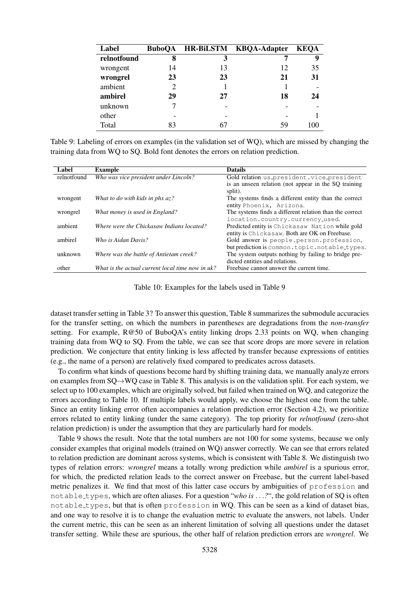| Label       | <b>BuboOA</b>               |    | HR-BiLSTM KBQA-Adapter | <b>KEOA</b> |
|-------------|-----------------------------|----|------------------------|-------------|
| relnotfound | 8                           | 3  |                        | 9           |
| wrongent    | 14                          | 13 | 12                     | 35          |
| wrongrel    | 23                          | 23 | 21                     | 31          |
| ambient     | $\mathcal{D}_{\mathcal{A}}$ |    |                        |             |
| ambirel     | 29                          | 27 | 18                     | 24          |
| unknown     |                             |    |                        |             |
| other       |                             |    |                        |             |
| Total       | 83                          |    | 59                     | 100         |

Table 9: Labeling of errors on examples (in the validation set of WQ), which are missed by changing the training data from WQ to SQ. Bold font denotes the errors on relation prediction.

| Label       | <b>Example</b>                                   | <b>Datails</b>                                          |
|-------------|--------------------------------------------------|---------------------------------------------------------|
| relnotfound | Who was vice president under Lincoln?            | Gold relation us_president.vice_president               |
|             |                                                  | is an unseen relation (not appear in the SQ training    |
|             |                                                  | split).                                                 |
| wrongent    | What to do with kids in phx $az$ ?               | The systems finds a different entity than the correct   |
|             |                                                  | entity Phoenix, Arizona.                                |
| wrongrel    | What money is used in England?                   | The systems finds a different relation than the correct |
|             |                                                  | location.country.currency_used.                         |
| ambient     | Where were the Chickasaw Indians located?        | Predicted entity is Chickasaw Nation while gold         |
|             |                                                  | entity is Chickasaw. Both are OK on Freebase.           |
| ambirel     | Who is Aidan Davis?                              | Gold answer is people.person.profession,                |
|             |                                                  | but prediction is common.topic.notable_types.           |
| unknown     | Where was the battle of Antietam creek?          | The system outputs nothing by failing to bridge pre-    |
|             |                                                  | dicted entities and relations.                          |
| other       | What is the actual current local time now in uk? | Freebase cannot answer the current time.                |

Table 10: Examples for the labels used in Table 9

dataset transfer setting in Table 3? To answer this question, Table 8 summarizes the submodule accuracies for the transfer setting, on which the numbers in parentheses are degradations from the *non-transfer* setting. For example, R@50 of BuboQA's entity linking drops 2.33 points on WQ, when changing training data from WQ to SQ. From the table, we can see that score drops are more severe in relation prediction. We conjecture that entity linking is less affected by transfer because expressions of entities (e.g., the name of a person) are relatively fixed compared to predicates across datasets.

To confirm what kinds of questions become hard by shifting training data, we manually analyze errors on examples from SQ→WQ case in Table 8. This analysis is on the validation split. For each system, we select up to 100 examples, which are originally solved, but failed when trained on WQ, and categorize the errors according to Table 10. If multiple labels would apply, we choose the highest one from the table. Since an entity linking error often accompanies a relation prediction error (Section 4.2), we prioritize errors related to entity linking (under the same category). The top priority for *relnotfound* (zero-shot relation prediction) is under the assumption that they are particularly hard for models.

Table 9 shows the result. Note that the total numbers are not 100 for some systems, because we only consider examples that original models (trained on WQ) answer correctly. We can see that errors related to relation prediction are dominant across systems, which is consistent with Table 8. We distinguish two types of relation errors: *wrongrel* means a totally wrong prediction while *ambirel* is a spurious error, for which, the predicted relation leads to the correct answer on Freebase, but the current label-based metric penalizes it. We find that most of this latter case occurs by ambiguities of profession and notable types, which are often aliases. For a question "*who is* . . .*?*", the gold relation of SQ is often notable types, but that is often profession in WQ. This can be seen as a kind of dataset bias, and one way to resolve it is to change the evaluation metric to evaluate the answers, not labels. Under the current metric, this can be seen as an inherent limitation of solving all questions under the dataset transfer setting. While these are spurious, the other half of relation prediction errors are *wrongrel*. We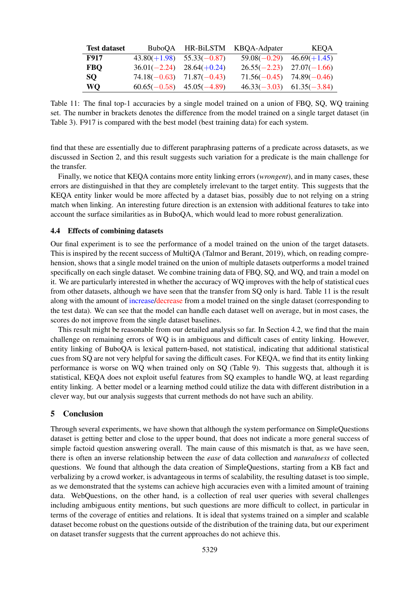| <b>Test dataset</b> |                               | BuboQA HR-BiLSTM KBQA-Adpater | KEOA                          |
|---------------------|-------------------------------|-------------------------------|-------------------------------|
| F917                | $43.80(+1.98)$ $55.33(-0.87)$ |                               | $59.08(-0.29)$ $46.69(+1.45)$ |
| <b>FBO</b>          | $36.01(-2.24)$ $28.64(+0.24)$ |                               | $26.55(-2.23)$ $27.07(-1.66)$ |
| SO.                 | $74.18(-0.63)$ $71.87(-0.43)$ |                               | $71.56(-0.45)$ $74.89(-0.46)$ |
| WO.                 | $60.65(-0.58)$ $45.05(-4.89)$ |                               | $46.33(-3.03)$ $61.35(-3.84)$ |

Table 11: The final top-1 accuracies by a single model trained on a union of FBQ, SQ, WQ training set. The number in brackets denotes the difference from the model trained on a single target dataset (in Table 3). F917 is compared with the best model (best training data) for each system.

find that these are essentially due to different paraphrasing patterns of a predicate across datasets, as we discussed in Section 2, and this result suggests such variation for a predicate is the main challenge for the transfer.

Finally, we notice that KEQA contains more entity linking errors (*wrongent*), and in many cases, these errors are distinguished in that they are completely irrelevant to the target entity. This suggests that the KEQA entity linker would be more affected by a dataset bias, possibly due to not relying on a string match when linking. An interesting future direction is an extension with additional features to take into account the surface similarities as in BuboQA, which would lead to more robust generalization.

#### 4.4 Effects of combining datasets

Our final experiment is to see the performance of a model trained on the union of the target datasets. This is inspired by the recent success of MultiQA (Talmor and Berant, 2019), which, on reading comprehension, shows that a single model trained on the union of multiple datasets outperforms a model trained specifically on each single dataset. We combine training data of FBQ, SQ, and WQ, and train a model on it. We are particularly interested in whether the accuracy of WQ improves with the help of statistical cues from other datasets, although we have seen that the transfer from SQ only is hard. Table 11 is the result along with the amount of increase/decrease from a model trained on the single dataset (corresponding to the test data). We can see that the model can handle each dataset well on average, but in most cases, the scores do not improve from the single dataset baselines.

This result might be reasonable from our detailed analysis so far. In Section 4.2, we find that the main challenge on remaining errors of WQ is in ambiguous and difficult cases of entity linking. However, entity linking of BuboQA is lexical pattern-based, not statistical, indicating that additional statistical cues from SQ are not very helpful for saving the difficult cases. For KEQA, we find that its entity linking performance is worse on WQ when trained only on SQ (Table 9). This suggests that, although it is statistical, KEQA does not exploit useful features from SQ examples to handle WQ, at least regarding entity linking. A better model or a learning method could utilize the data with different distribution in a clever way, but our analysis suggests that current methods do not have such an ability.

# 5 Conclusion

Through several experiments, we have shown that although the system performance on SimpleQuestions dataset is getting better and close to the upper bound, that does not indicate a more general success of simple factoid question answering overall. The main cause of this mismatch is that, as we have seen, there is often an inverse relationship between the *ease* of data collection and *naturalness* of collected questions. We found that although the data creation of SimpleQuestions, starting from a KB fact and verbalizing by a crowd worker, is advantageous in terms of scalability, the resulting dataset is too simple, as we demonstrated that the systems can achieve high accuracies even with a limited amount of training data. WebQuestions, on the other hand, is a collection of real user queries with several challenges including ambiguous entity mentions, but such questions are more difficult to collect, in particular in terms of the coverage of entities and relations. It is ideal that systems trained on a simpler and scalable dataset become robust on the questions outside of the distribution of the training data, but our experiment on dataset transfer suggests that the current approaches do not achieve this.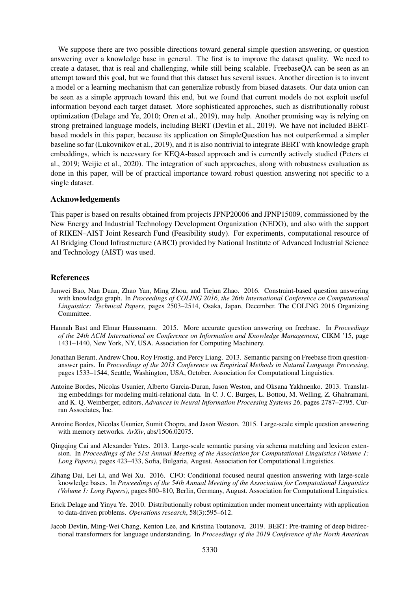We suppose there are two possible directions toward general simple question answering, or question answering over a knowledge base in general. The first is to improve the dataset quality. We need to create a dataset, that is real and challenging, while still being scalable. FreebaseQA can be seen as an attempt toward this goal, but we found that this dataset has several issues. Another direction is to invent a model or a learning mechanism that can generalize robustly from biased datasets. Our data union can be seen as a simple approach toward this end, but we found that current models do not exploit useful information beyond each target dataset. More sophisticated approaches, such as distributionally robust optimization (Delage and Ye, 2010; Oren et al., 2019), may help. Another promising way is relying on strong pretrained language models, including BERT (Devlin et al., 2019). We have not included BERTbased models in this paper, because its application on SimpleQuestion has not outperformed a simpler baseline so far (Lukovnikov et al., 2019), and it is also nontrivial to integrate BERT with knowledge graph embeddings, which is necessary for KEQA-based approach and is currently actively studied (Peters et al., 2019; Weijie et al., 2020). The integration of such approaches, along with robustness evaluation as done in this paper, will be of practical importance toward robust question answering not specific to a single dataset.

#### Acknowledgements

This paper is based on results obtained from projects JPNP20006 and JPNP15009, commissioned by the New Energy and Industrial Technology Development Organization (NEDO), and also with the support of RIKEN–AIST Joint Research Fund (Feasibility study). For experiments, computational resource of AI Bridging Cloud Infrastructure (ABCI) provided by National Institute of Advanced Industrial Science and Technology (AIST) was used.

#### References

- Junwei Bao, Nan Duan, Zhao Yan, Ming Zhou, and Tiejun Zhao. 2016. Constraint-based question answering with knowledge graph. In *Proceedings of COLING 2016, the 26th International Conference on Computational Linguistics: Technical Papers*, pages 2503–2514, Osaka, Japan, December. The COLING 2016 Organizing Committee.
- Hannah Bast and Elmar Haussmann. 2015. More accurate question answering on freebase. In *Proceedings of the 24th ACM International on Conference on Information and Knowledge Management*, CIKM '15, page 1431–1440, New York, NY, USA. Association for Computing Machinery.
- Jonathan Berant, Andrew Chou, Roy Frostig, and Percy Liang. 2013. Semantic parsing on Freebase from questionanswer pairs. In *Proceedings of the 2013 Conference on Empirical Methods in Natural Language Processing*, pages 1533–1544, Seattle, Washington, USA, October. Association for Computational Linguistics.
- Antoine Bordes, Nicolas Usunier, Alberto Garcia-Duran, Jason Weston, and Oksana Yakhnenko. 2013. Translating embeddings for modeling multi-relational data. In C. J. C. Burges, L. Bottou, M. Welling, Z. Ghahramani, and K. Q. Weinberger, editors, *Advances in Neural Information Processing Systems 26*, pages 2787–2795. Curran Associates, Inc.
- Antoine Bordes, Nicolas Usunier, Sumit Chopra, and Jason Weston. 2015. Large-scale simple question answering with memory networks. *ArXiv*, abs/1506.02075.
- Qingqing Cai and Alexander Yates. 2013. Large-scale semantic parsing via schema matching and lexicon extension. In *Proceedings of the 51st Annual Meeting of the Association for Computational Linguistics (Volume 1: Long Papers)*, pages 423–433, Sofia, Bulgaria, August. Association for Computational Linguistics.
- Zihang Dai, Lei Li, and Wei Xu. 2016. CFO: Conditional focused neural question answering with large-scale knowledge bases. In *Proceedings of the 54th Annual Meeting of the Association for Computational Linguistics (Volume 1: Long Papers)*, pages 800–810, Berlin, Germany, August. Association for Computational Linguistics.
- Erick Delage and Yinyu Ye. 2010. Distributionally robust optimization under moment uncertainty with application to data-driven problems. *Operations research*, 58(3):595–612.
- Jacob Devlin, Ming-Wei Chang, Kenton Lee, and Kristina Toutanova. 2019. BERT: Pre-training of deep bidirectional transformers for language understanding. In *Proceedings of the 2019 Conference of the North American*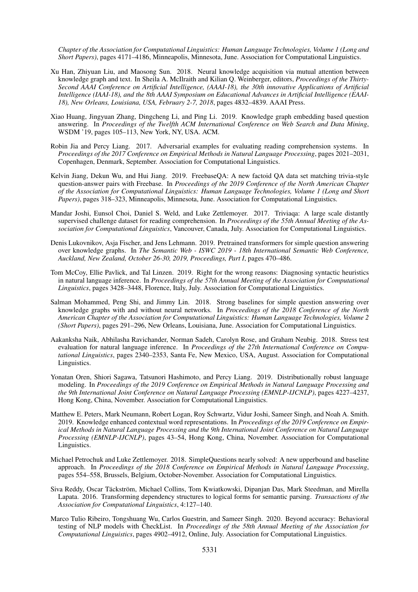*Chapter of the Association for Computational Linguistics: Human Language Technologies, Volume 1 (Long and Short Papers)*, pages 4171–4186, Minneapolis, Minnesota, June. Association for Computational Linguistics.

- Xu Han, Zhiyuan Liu, and Maosong Sun. 2018. Neural knowledge acquisition via mutual attention between knowledge graph and text. In Sheila A. McIlraith and Kilian Q. Weinberger, editors, *Proceedings of the Thirty-Second AAAI Conference on Artificial Intelligence, (AAAI-18), the 30th innovative Applications of Artificial Intelligence (IAAI-18), and the 8th AAAI Symposium on Educational Advances in Artificial Intelligence (EAAI-18), New Orleans, Louisiana, USA, February 2-7, 2018*, pages 4832–4839. AAAI Press.
- Xiao Huang, Jingyuan Zhang, Dingcheng Li, and Ping Li. 2019. Knowledge graph embedding based question answering. In *Proceedings of the Twelfth ACM International Conference on Web Search and Data Mining*, WSDM '19, pages 105–113, New York, NY, USA. ACM.
- Robin Jia and Percy Liang. 2017. Adversarial examples for evaluating reading comprehension systems. In *Proceedings of the 2017 Conference on Empirical Methods in Natural Language Processing*, pages 2021–2031, Copenhagen, Denmark, September. Association for Computational Linguistics.
- Kelvin Jiang, Dekun Wu, and Hui Jiang. 2019. FreebaseQA: A new factoid QA data set matching trivia-style question-answer pairs with Freebase. In *Proceedings of the 2019 Conference of the North American Chapter of the Association for Computational Linguistics: Human Language Technologies, Volume 1 (Long and Short Papers)*, pages 318–323, Minneapolis, Minnesota, June. Association for Computational Linguistics.
- Mandar Joshi, Eunsol Choi, Daniel S. Weld, and Luke Zettlemoyer. 2017. Triviaqa: A large scale distantly supervised challenge dataset for reading comprehension. In *Proceedings of the 55th Annual Meeting of the Association for Computational Linguistics*, Vancouver, Canada, July. Association for Computational Linguistics.
- Denis Lukovnikov, Asja Fischer, and Jens Lehmann. 2019. Pretrained transformers for simple question answering over knowledge graphs. In *The Semantic Web - ISWC 2019 - 18th International Semantic Web Conference, Auckland, New Zealand, October 26-30, 2019, Proceedings, Part I*, pages 470–486.
- Tom McCoy, Ellie Pavlick, and Tal Linzen. 2019. Right for the wrong reasons: Diagnosing syntactic heuristics in natural language inference. In *Proceedings of the 57th Annual Meeting of the Association for Computational Linguistics*, pages 3428–3448, Florence, Italy, July. Association for Computational Linguistics.
- Salman Mohammed, Peng Shi, and Jimmy Lin. 2018. Strong baselines for simple question answering over knowledge graphs with and without neural networks. In *Proceedings of the 2018 Conference of the North American Chapter of the Association for Computational Linguistics: Human Language Technologies, Volume 2 (Short Papers)*, pages 291–296, New Orleans, Louisiana, June. Association for Computational Linguistics.
- Aakanksha Naik, Abhilasha Ravichander, Norman Sadeh, Carolyn Rose, and Graham Neubig. 2018. Stress test evaluation for natural language inference. In *Proceedings of the 27th International Conference on Computational Linguistics*, pages 2340–2353, Santa Fe, New Mexico, USA, August. Association for Computational Linguistics.
- Yonatan Oren, Shiori Sagawa, Tatsunori Hashimoto, and Percy Liang. 2019. Distributionally robust language modeling. In *Proceedings of the 2019 Conference on Empirical Methods in Natural Language Processing and the 9th International Joint Conference on Natural Language Processing (EMNLP-IJCNLP)*, pages 4227–4237, Hong Kong, China, November. Association for Computational Linguistics.
- Matthew E. Peters, Mark Neumann, Robert Logan, Roy Schwartz, Vidur Joshi, Sameer Singh, and Noah A. Smith. 2019. Knowledge enhanced contextual word representations. In *Proceedings of the 2019 Conference on Empirical Methods in Natural Language Processing and the 9th International Joint Conference on Natural Language Processing (EMNLP-IJCNLP)*, pages 43–54, Hong Kong, China, November. Association for Computational Linguistics.
- Michael Petrochuk and Luke Zettlemoyer. 2018. SimpleQuestions nearly solved: A new upperbound and baseline approach. In *Proceedings of the 2018 Conference on Empirical Methods in Natural Language Processing*, pages 554–558, Brussels, Belgium, October-November. Association for Computational Linguistics.
- Siva Reddy, Oscar Täckström, Michael Collins, Tom Kwiatkowski, Dipanjan Das, Mark Steedman, and Mirella Lapata. 2016. Transforming dependency structures to logical forms for semantic parsing. *Transactions of the Association for Computational Linguistics*, 4:127–140.
- Marco Tulio Ribeiro, Tongshuang Wu, Carlos Guestrin, and Sameer Singh. 2020. Beyond accuracy: Behavioral testing of NLP models with CheckList. In *Proceedings of the 58th Annual Meeting of the Association for Computational Linguistics*, pages 4902–4912, Online, July. Association for Computational Linguistics.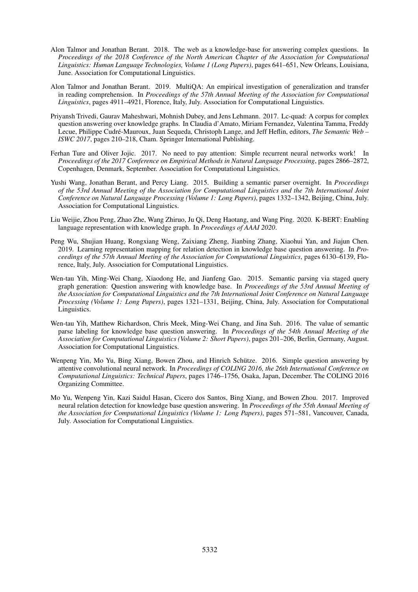- Alon Talmor and Jonathan Berant. 2018. The web as a knowledge-base for answering complex questions. In *Proceedings of the 2018 Conference of the North American Chapter of the Association for Computational Linguistics: Human Language Technologies, Volume 1 (Long Papers)*, pages 641–651, New Orleans, Louisiana, June. Association for Computational Linguistics.
- Alon Talmor and Jonathan Berant. 2019. MultiQA: An empirical investigation of generalization and transfer in reading comprehension. In *Proceedings of the 57th Annual Meeting of the Association for Computational Linguistics*, pages 4911–4921, Florence, Italy, July. Association for Computational Linguistics.
- Priyansh Trivedi, Gaurav Maheshwari, Mohnish Dubey, and Jens Lehmann. 2017. Lc-quad: A corpus for complex question answering over knowledge graphs. In Claudia d'Amato, Miriam Fernandez, Valentina Tamma, Freddy Lecue, Philippe Cudre-Mauroux, Juan Sequeda, Christoph Lange, and Jeff Heflin, editors, ´ *The Semantic Web – ISWC 2017*, pages 210–218, Cham. Springer International Publishing.
- Ferhan Ture and Oliver Jojic. 2017. No need to pay attention: Simple recurrent neural networks work! In *Proceedings of the 2017 Conference on Empirical Methods in Natural Language Processing*, pages 2866–2872, Copenhagen, Denmark, September. Association for Computational Linguistics.
- Yushi Wang, Jonathan Berant, and Percy Liang. 2015. Building a semantic parser overnight. In *Proceedings of the 53rd Annual Meeting of the Association for Computational Linguistics and the 7th International Joint Conference on Natural Language Processing (Volume 1: Long Papers)*, pages 1332–1342, Beijing, China, July. Association for Computational Linguistics.
- Liu Weijie, Zhou Peng, Zhao Zhe, Wang Zhiruo, Ju Qi, Deng Haotang, and Wang Ping. 2020. K-BERT: Enabling language representation with knowledge graph. In *Proceedings of AAAI 2020*.
- Peng Wu, Shujian Huang, Rongxiang Weng, Zaixiang Zheng, Jianbing Zhang, Xiaohui Yan, and Jiajun Chen. 2019. Learning representation mapping for relation detection in knowledge base question answering. In *Proceedings of the 57th Annual Meeting of the Association for Computational Linguistics*, pages 6130–6139, Florence, Italy, July. Association for Computational Linguistics.
- Wen-tau Yih, Ming-Wei Chang, Xiaodong He, and Jianfeng Gao. 2015. Semantic parsing via staged query graph generation: Question answering with knowledge base. In *Proceedings of the 53rd Annual Meeting of the Association for Computational Linguistics and the 7th International Joint Conference on Natural Language Processing (Volume 1: Long Papers)*, pages 1321–1331, Beijing, China, July. Association for Computational Linguistics.
- Wen-tau Yih, Matthew Richardson, Chris Meek, Ming-Wei Chang, and Jina Suh. 2016. The value of semantic parse labeling for knowledge base question answering. In *Proceedings of the 54th Annual Meeting of the Association for Computational Linguistics (Volume 2: Short Papers)*, pages 201–206, Berlin, Germany, August. Association for Computational Linguistics.
- Wenpeng Yin, Mo Yu, Bing Xiang, Bowen Zhou, and Hinrich Schütze. 2016. Simple question answering by attentive convolutional neural network. In *Proceedings of COLING 2016, the 26th International Conference on Computational Linguistics: Technical Papers*, pages 1746–1756, Osaka, Japan, December. The COLING 2016 Organizing Committee.
- Mo Yu, Wenpeng Yin, Kazi Saidul Hasan, Cicero dos Santos, Bing Xiang, and Bowen Zhou. 2017. Improved neural relation detection for knowledge base question answering. In *Proceedings of the 55th Annual Meeting of the Association for Computational Linguistics (Volume 1: Long Papers)*, pages 571–581, Vancouver, Canada, July. Association for Computational Linguistics.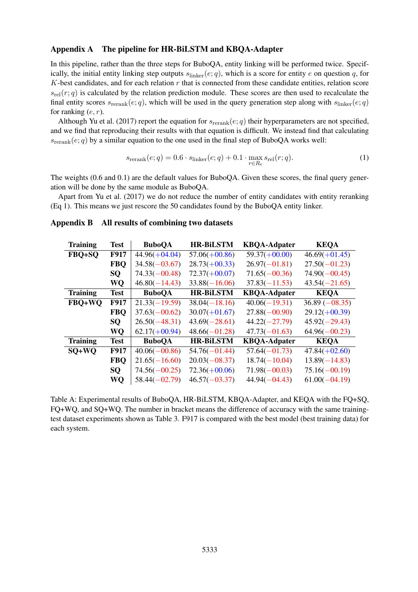#### Appendix A The pipeline for HR-BiLSTM and KBQA-Adapter

In this pipeline, rather than the three steps for BuboQA, entity linking will be performed twice. Specifically, the initial entity linking step outputs  $s_{\text{linker}}(e; q)$ , which is a score for entity e on question q, for  $K$ -best candidates, and for each relation  $r$  that is connected from these candidate entities, relation score  $s_{rel}(r; q)$  is calculated by the relation prediction module. These scores are then used to recalculate the final entity scores  $s_{\text{rerank}}(e; q)$ , which will be used in the query generation step along with  $s_{\text{linker}}(e; q)$ for ranking  $(e, r)$ .

Although Yu et al. (2017) report the equation for  $s_{\text{rerank}}(e; q)$  their hyperparameters are not specified, and we find that reproducing their results with that equation is difficult. We instead find that calculating  $s_{\text{rerank}}(e; q)$  by a similar equation to the one used in the final step of BuboQA works well:

$$
s_{\text{rerank}}(e;q) = 0.6 \cdot s_{\text{linker}}(e;q) + 0.1 \cdot \max_{r \in R_e} s_{\text{rel}}(r;q). \tag{1}
$$

The weights (0.6 and 0.1) are the default values for BuboQA. Given these scores, the final query generation will be done by the same module as BuboQA.

Apart from Yu et al. (2017) we do not reduce the number of entity candidates with entity reranking (Eq 1). This means we just rescore the 50 candidates found by the BuboQA entity linker.

| <b>Training</b> | <b>Test</b> | <b>BuboQA</b>   | <b>HR-BiLSTM</b> | <b>KBQA-Adpater</b> | <b>KEQA</b>      |
|-----------------|-------------|-----------------|------------------|---------------------|------------------|
| FBQ+SQ          | <b>F917</b> | $44.96(+04.04)$ | $57.06(+00.86)$  | $59.37(+00.00)$     | $46.69(+01.45)$  |
|                 | <b>FBO</b>  | $34.58(-03.67)$ | $28.73(+00.33)$  | $26.97(-01.81)$     | $27.50(-01.23)$  |
|                 | SQ          | $74.33(-00.48)$ | $72.37(+00.07)$  | $71.65(-00.36)$     | $74.90(-00.45)$  |
|                 | WQ          | $46.80(-14.43)$ | $33.88(-16.06)$  | $37.83(-11.53)$     | $43.54(-21.65)$  |
| <b>Training</b> | <b>Test</b> | <b>BuboQA</b>   | <b>HR-BILSTM</b> | <b>KBQA-Adpater</b> | <b>KEQA</b>      |
| FBO+WO          | <b>F917</b> | $21.33(-19.59)$ | $38.04(-18.16)$  | $40.06(-19.31)$     | $36.89 (-08.35)$ |
|                 | <b>FBQ</b>  | $37.63(-00.62)$ | $30.07(+01.67)$  | $27.88(-00.90)$     | $29.12(+00.39)$  |
|                 | <b>SQ</b>   | $26.50(-48.31)$ | $43.69(-28.61)$  | $44.22(-27.79)$     | $45.92(-29.43)$  |
|                 | WQ          | $62.17(+00.94)$ | $48.66(-01.28)$  | $47.73(-01.63)$     | $64.96(-00.23)$  |
| <b>Training</b> | <b>Test</b> | <b>BuboOA</b>   | <b>HR-BILSTM</b> | <b>KBOA-Adpater</b> | <b>KEOA</b>      |
| $SO+WO$         | <b>F917</b> | $40.06(-00.86)$ | $54.76(-01.44)$  | $57.64(-01.73)$     | $47.84(+02.60)$  |
|                 | <b>FBO</b>  | $21.65(-16.60)$ | $20.03(-08.37)$  | $18.74(-10.04)$     | $13.89(-14.83)$  |
|                 | <b>SQ</b>   | $74.56(-00.25)$ | $72.36(+00.06)$  | $71.98(-00.03)$     | $75.16(-00.19)$  |
|                 | WQ          | $58.44(-02.79)$ | $46.57(-03.37)$  | $44.94(-04.43)$     | $61.00(-04.19)$  |

#### Appendix B All results of combining two datasets

Table A: Experimental results of BuboQA, HR-BiLSTM, KBQA-Adapter, and KEQA with the FQ+SQ, FQ+WQ, and SQ+WQ. The number in bracket means the difference of accuracy with the same trainingtest dataset experiments shown as Table 3. F917 is compared with the best model (best training data) for each system.